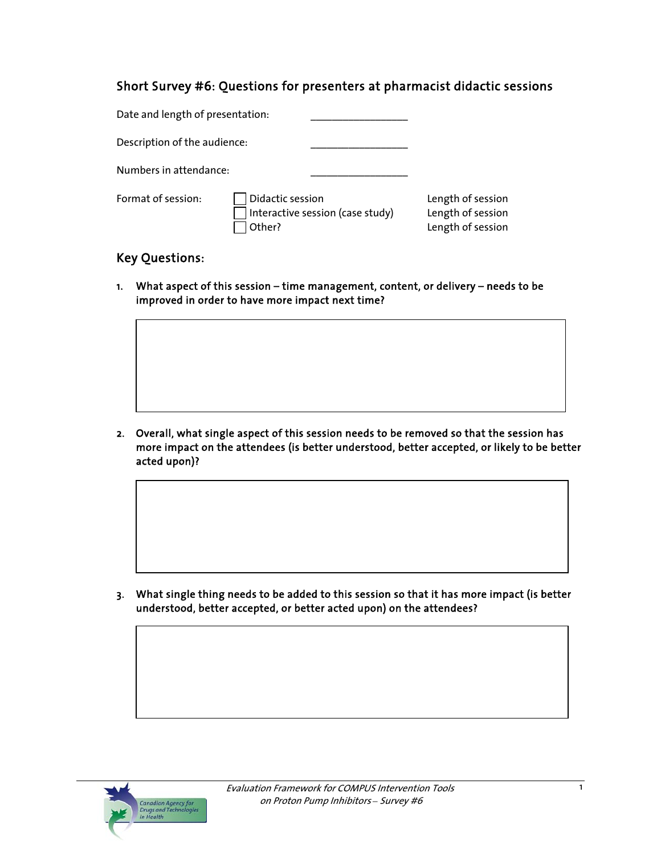## Short Survey #6: Questions for presenters at pharmacist didactic sessions

| Date and length of presentation: |                                                                |                                                             |
|----------------------------------|----------------------------------------------------------------|-------------------------------------------------------------|
| Description of the audience:     |                                                                |                                                             |
| Numbers in attendance:           |                                                                |                                                             |
| Format of session:               | Didactic session<br>Interactive session (case study)<br>Other? | Length of session<br>Length of session<br>Length of session |

# Key Questions:

1. What aspect of this session – time management, content, or delivery – needs to be improved in order to have more impact next time?

2. Overall, what single aspect of this session needs to be removed so that the session has more impact on the attendees (is better understood, better accepted, or likely to be better acted upon)?

3. What single thing needs to be added to this session so that it has more impact (is better understood, better accepted, or better acted upon) on the attendees?

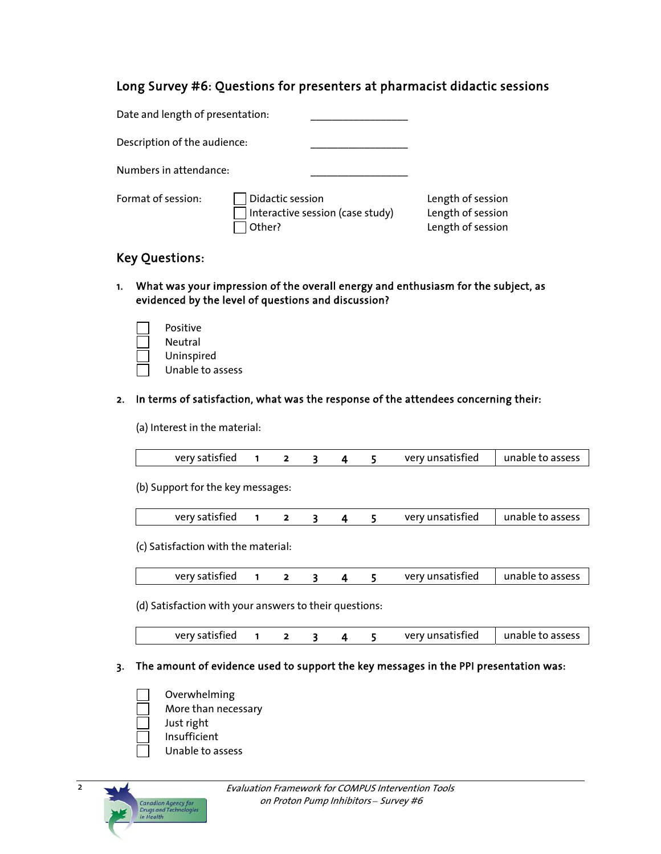### Long Survey #6: Questions for presenters at pharmacist didactic sessions

| Date and length of presentation: |                            |                                  |                                                             |
|----------------------------------|----------------------------|----------------------------------|-------------------------------------------------------------|
| Description of the audience:     |                            |                                  |                                                             |
| Numbers in attendance:           |                            |                                  |                                                             |
| Format of session:               | Didactic session<br>Other? | Interactive session (case study) | Length of session<br>Length of session<br>Length of session |

## Key Questions:

1. What was your impression of the overall energy and enthusiasm for the subject, as evidenced by the level of questions and discussion?

| Positive         |
|------------------|
| Neutral          |
| Uninspired       |
| Unable to assess |

#### 2. In terms of satisfaction, what was the response of the attendees concerning their:

(a) Interest in the material:

| very satisfied |  |  | very unsatisfied | unable to assess |
|----------------|--|--|------------------|------------------|

(b) Support for the key messages:

| very satisfied |  |  | very unsatisfied | unable to assess |
|----------------|--|--|------------------|------------------|
|                |  |  |                  |                  |

(c) Satisfaction with the material:

| very unsatisfied<br>very satisfied | unable to assess |
|------------------------------------|------------------|
|------------------------------------|------------------|

(d) Satisfaction with your answers to their questions:

|  | very satisfied |  |  |  |  |  | very unsatisfied | unable to assess |
|--|----------------|--|--|--|--|--|------------------|------------------|
|--|----------------|--|--|--|--|--|------------------|------------------|

### 3. The amount of evidence used to support the key messages in the PPI presentation was:

- Overwhelming
- More than necessary
- Just right
- Insufficient
- Unable to assess